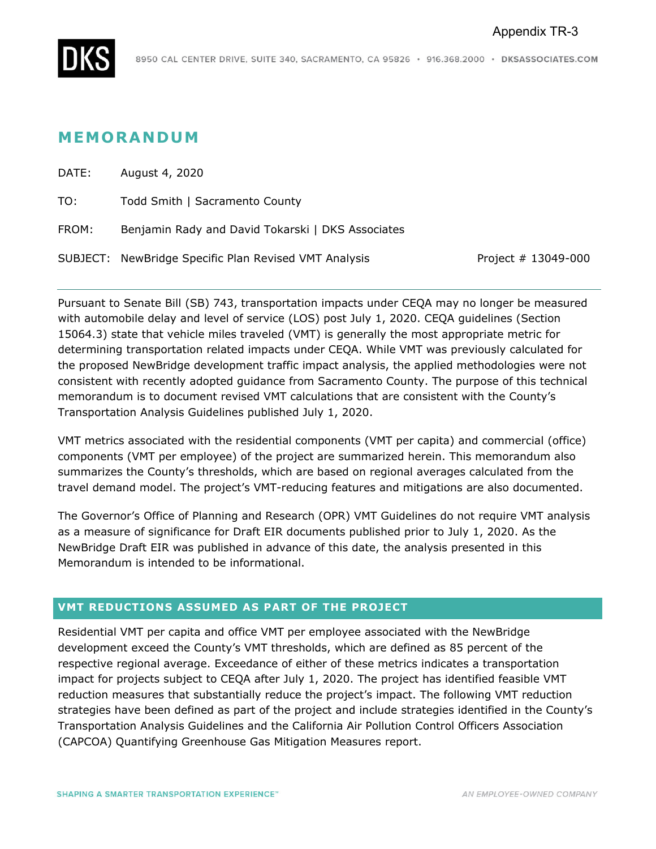

# **MEMORANDUM**

| DATE: | August 4, 2020                                        |                         |
|-------|-------------------------------------------------------|-------------------------|
| TO:   | Todd Smith   Sacramento County                        |                         |
| FROM: | Benjamin Rady and David Tokarski   DKS Associates     |                         |
|       | SUBJECT: NewBridge Specific Plan Revised VMT Analysis | Project $# 13049 - 000$ |

Pursuant to Senate Bill (SB) 743, transportation impacts under CEQA may no longer be measured with automobile delay and level of service (LOS) post July 1, 2020. CEQA guidelines (Section 15064.3) state that vehicle miles traveled (VMT) is generally the most appropriate metric for determining transportation related impacts under CEQA. While VMT was previously calculated for the proposed NewBridge development traffic impact analysis, the applied methodologies were not consistent with recently adopted guidance from Sacramento County. The purpose of this technical memorandum is to document revised VMT calculations that are consistent with the County's Transportation Analysis Guidelines published July 1, 2020.

VMT metrics associated with the residential components (VMT per capita) and commercial (office) components (VMT per employee) of the project are summarized herein. This memorandum also summarizes the County's thresholds, which are based on regional averages calculated from the travel demand model. The project's VMT-reducing features and mitigations are also documented.

The Governor's Office of Planning and Research (OPR) VMT Guidelines do not require VMT analysis as a measure of significance for Draft EIR documents published prior to July 1, 2020. As the NewBridge Draft EIR was published in advance of this date, the analysis presented in this Memorandum is intended to be informational.

### **VMT REDUCTIONS ASSUMED AS PART OF THE PROJECT**

Residential VMT per capita and office VMT per employee associated with the NewBridge development exceed the County's VMT thresholds, which are defined as 85 percent of the respective regional average. Exceedance of either of these metrics indicates a transportation impact for projects subject to CEQA after July 1, 2020. The project has identified feasible VMT reduction measures that substantially reduce the project's impact. The following VMT reduction strategies have been defined as part of the project and include strategies identified in the County's Transportation Analysis Guidelines and the California Air Pollution Control Officers Association (CAPCOA) Quantifying Greenhouse Gas Mitigation Measures report.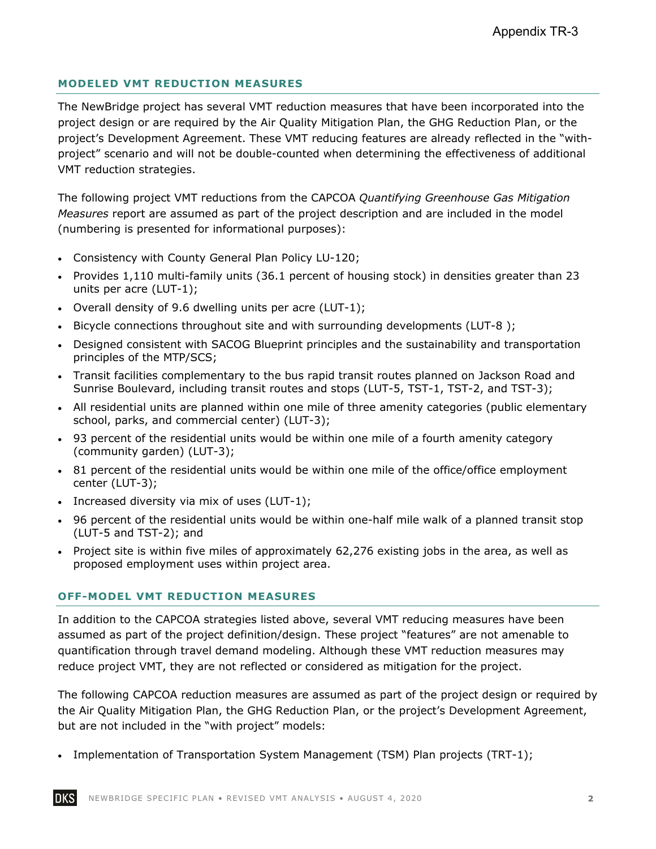# **MODELED VMT REDUCTION MEASURES**

The NewBridge project has several VMT reduction measures that have been incorporated into the project design or are required by the Air Quality Mitigation Plan, the GHG Reduction Plan, or the project's Development Agreement. These VMT reducing features are already reflected in the "withproject" scenario and will not be double-counted when determining the effectiveness of additional VMT reduction strategies.

The following project VMT reductions from the CAPCOA *Quantifying Greenhouse Gas Mitigation Measures* report are assumed as part of the project description and are included in the model (numbering is presented for informational purposes):

- Consistency with County General Plan Policy LU-120;
- Provides 1,110 multi-family units (36.1 percent of housing stock) in densities greater than 23 units per acre (LUT-1);
- Overall density of 9.6 dwelling units per acre (LUT-1);
- Bicycle connections throughout site and with surrounding developments (LUT-8);
- Designed consistent with SACOG Blueprint principles and the sustainability and transportation principles of the MTP/SCS;
- Transit facilities complementary to the bus rapid transit routes planned on Jackson Road and Sunrise Boulevard, including transit routes and stops (LUT-5, TST-1, TST-2, and TST-3);
- All residential units are planned within one mile of three amenity categories (public elementary school, parks, and commercial center) (LUT-3);
- 93 percent of the residential units would be within one mile of a fourth amenity category (community garden) (LUT-3);
- 81 percent of the residential units would be within one mile of the office/office employment center (LUT-3);
- Increased diversity via mix of uses (LUT-1);
- 96 percent of the residential units would be within one-half mile walk of a planned transit stop (LUT-5 and TST-2); and
- Project site is within five miles of approximately 62,276 existing jobs in the area, as well as proposed employment uses within project area.

### **OFF-MODEL VMT REDUCTION MEASURES**

In addition to the CAPCOA strategies listed above, several VMT reducing measures have been assumed as part of the project definition/design. These project "features" are not amenable to quantification through travel demand modeling. Although these VMT reduction measures may reduce project VMT, they are not reflected or considered as mitigation for the project.

The following CAPCOA reduction measures are assumed as part of the project design or required by the Air Quality Mitigation Plan, the GHG Reduction Plan, or the project's Development Agreement, but are not included in the "with project" models:

• Implementation of Transportation System Management (TSM) Plan projects (TRT-1);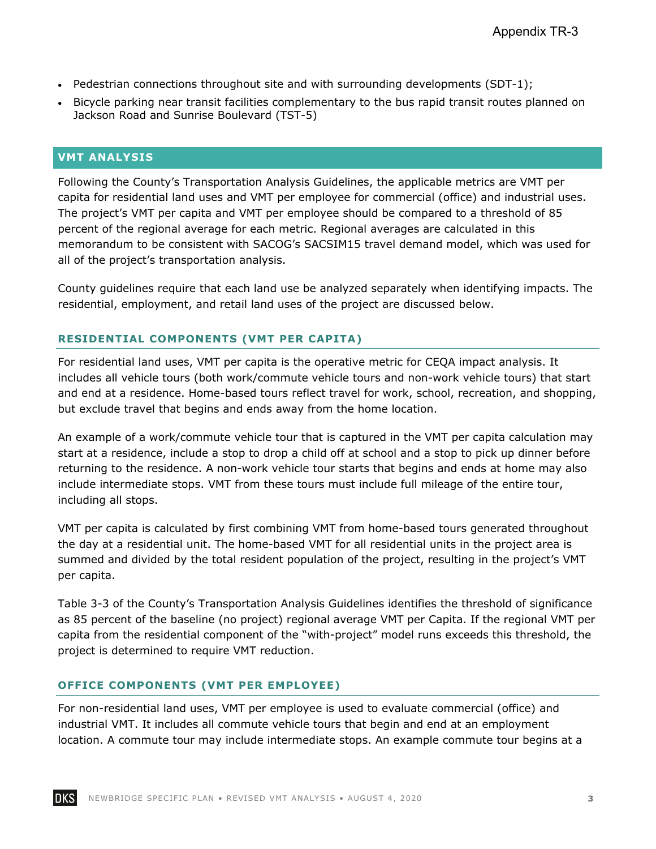- Pedestrian connections throughout site and with surrounding developments  $(SDT-1)$ ;
- Bicycle parking near transit facilities complementary to the bus rapid transit routes planned on Jackson Road and Sunrise Boulevard (TST-5)

#### **VMT ANALYSIS**

Following the County's Transportation Analysis Guidelines, the applicable metrics are VMT per capita for residential land uses and VMT per employee for commercial (office) and industrial uses. The project's VMT per capita and VMT per employee should be compared to a threshold of 85 percent of the regional average for each metric. Regional averages are calculated in this memorandum to be consistent with SACOG's SACSIM15 travel demand model, which was used for all of the project's transportation analysis.

County guidelines require that each land use be analyzed separately when identifying impacts. The residential, employment, and retail land uses of the project are discussed below.

## **RESIDENTIAL COMPONENTS (VMT PER CAPITA)**

For residential land uses, VMT per capita is the operative metric for CEQA impact analysis. It includes all vehicle tours (both work/commute vehicle tours and non-work vehicle tours) that start and end at a residence. Home-based tours reflect travel for work, school, recreation, and shopping, but exclude travel that begins and ends away from the home location.

An example of a work/commute vehicle tour that is captured in the VMT per capita calculation may start at a residence, include a stop to drop a child off at school and a stop to pick up dinner before returning to the residence. A non-work vehicle tour starts that begins and ends at home may also include intermediate stops. VMT from these tours must include full mileage of the entire tour, including all stops.

VMT per capita is calculated by first combining VMT from home-based tours generated throughout the day at a residential unit. The home-based VMT for all residential units in the project area is summed and divided by the total resident population of the project, resulting in the project's VMT per capita.

Table 3-3 of the County's Transportation Analysis Guidelines identifies the threshold of significance as 85 percent of the baseline (no project) regional average VMT per Capita. If the regional VMT per capita from the residential component of the "with-project" model runs exceeds this threshold, the project is determined to require VMT reduction.

#### **OFFICE COMPONENTS (VMT PER EMPLOYEE)**

For non-residential land uses, VMT per employee is used to evaluate commercial (office) and industrial VMT. It includes all commute vehicle tours that begin and end at an employment location. A commute tour may include intermediate stops. An example commute tour begins at a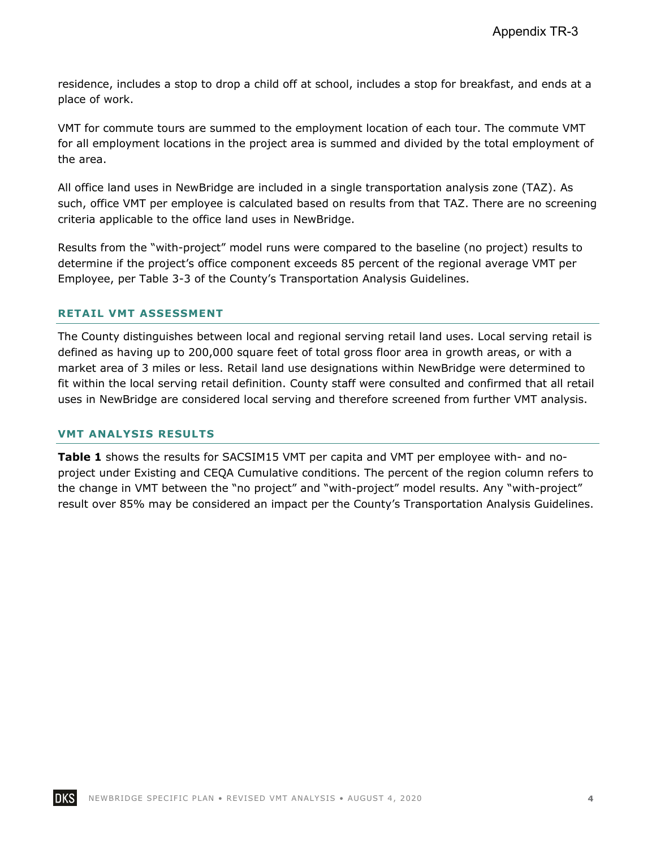residence, includes a stop to drop a child off at school, includes a stop for breakfast, and ends at a place of work.

VMT for commute tours are summed to the employment location of each tour. The commute VMT for all employment locations in the project area is summed and divided by the total employment of the area.

All office land uses in NewBridge are included in a single transportation analysis zone (TAZ). As such, office VMT per employee is calculated based on results from that TAZ. There are no screening criteria applicable to the office land uses in NewBridge.

Results from the "with-project" model runs were compared to the baseline (no project) results to determine if the project's office component exceeds 85 percent of the regional average VMT per Employee, per Table 3-3 of the County's Transportation Analysis Guidelines.

#### **RETAIL VMT ASSESSMENT**

The County distinguishes between local and regional serving retail land uses. Local serving retail is defined as having up to 200,000 square feet of total gross floor area in growth areas, or with a market area of 3 miles or less. Retail land use designations within NewBridge were determined to fit within the local serving retail definition. County staff were consulted and confirmed that all retail uses in NewBridge are considered local serving and therefore screened from further VMT analysis.

#### **VMT ANALYSIS RESULTS**

**Table 1** shows the results for SACSIM15 VMT per capita and VMT per employee with- and noproject under Existing and CEQA Cumulative conditions. The percent of the region column refers to the change in VMT between the "no project" and "with-project" model results. Any "with-project" result over 85% may be considered an impact per the County's Transportation Analysis Guidelines.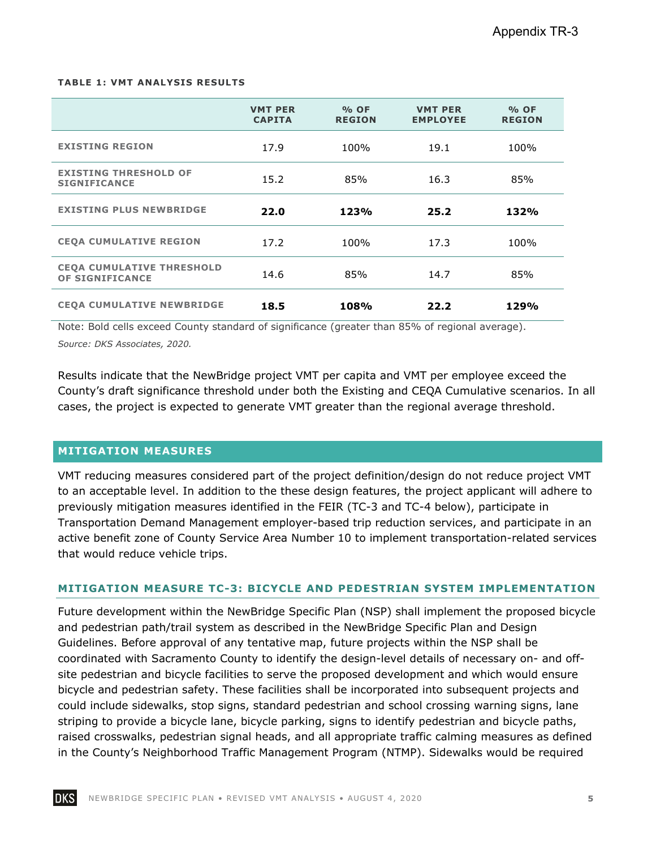#### **TABLE 1: VMT ANALYSIS RESULTS**

|                                                            | <b>VMT PER</b><br><b>CAPITA</b> | % OF<br><b>REGION</b> | <b>VMT PER</b><br><b>EMPLOYEE</b> | % OF<br><b>REGION</b> |
|------------------------------------------------------------|---------------------------------|-----------------------|-----------------------------------|-----------------------|
| <b>EXISTING REGION</b>                                     | 17.9                            | 100%                  | 19.1                              | 100%                  |
| <b>EXISTING THRESHOLD OF</b><br><b>SIGNIFICANCE</b>        | 15.2                            | 85%                   | 16.3                              | 85%                   |
| <b>EXISTING PLUS NEWBRIDGE</b>                             | 22.0                            | 123%                  | 25.2                              | 132%                  |
| <b>CEQA CUMULATIVE REGION</b>                              | 17.2                            | 100%                  | 17.3                              | 100%                  |
| <b>CEOA CUMULATIVE THRESHOLD</b><br><b>OF SIGNIFICANCE</b> | 14.6                            | 85%                   | 14.7                              | 85%                   |
| <b>CEOA CUMULATIVE NEWBRIDGE</b>                           | 18.5                            | 108%                  | 22.2                              | 129%                  |

Note: Bold cells exceed County standard of significance (greater than 85% of regional average). *Source: DKS Associates, 2020.* 

Results indicate that the NewBridge project VMT per capita and VMT per employee exceed the County's draft significance threshold under both the Existing and CEQA Cumulative scenarios. In all cases, the project is expected to generate VMT greater than the regional average threshold.

#### **MITIGATION MEASURES**

VMT reducing measures considered part of the project definition/design do not reduce project VMT to an acceptable level. In addition to the these design features, the project applicant will adhere to previously mitigation measures identified in the FEIR (TC-3 and TC-4 below), participate in Transportation Demand Management employer-based trip reduction services, and participate in an active benefit zone of County Service Area Number 10 to implement transportation-related services that would reduce vehicle trips.

#### **MITIGATION MEASURE TC-3: BICYCLE AND PEDESTRIAN SYSTEM IMPLEMENTATION**

Future development within the NewBridge Specific Plan (NSP) shall implement the proposed bicycle and pedestrian path/trail system as described in the NewBridge Specific Plan and Design Guidelines. Before approval of any tentative map, future projects within the NSP shall be coordinated with Sacramento County to identify the design-level details of necessary on- and offsite pedestrian and bicycle facilities to serve the proposed development and which would ensure bicycle and pedestrian safety. These facilities shall be incorporated into subsequent projects and could include sidewalks, stop signs, standard pedestrian and school crossing warning signs, lane striping to provide a bicycle lane, bicycle parking, signs to identify pedestrian and bicycle paths, raised crosswalks, pedestrian signal heads, and all appropriate traffic calming measures as defined in the County's Neighborhood Traffic Management Program (NTMP). Sidewalks would be required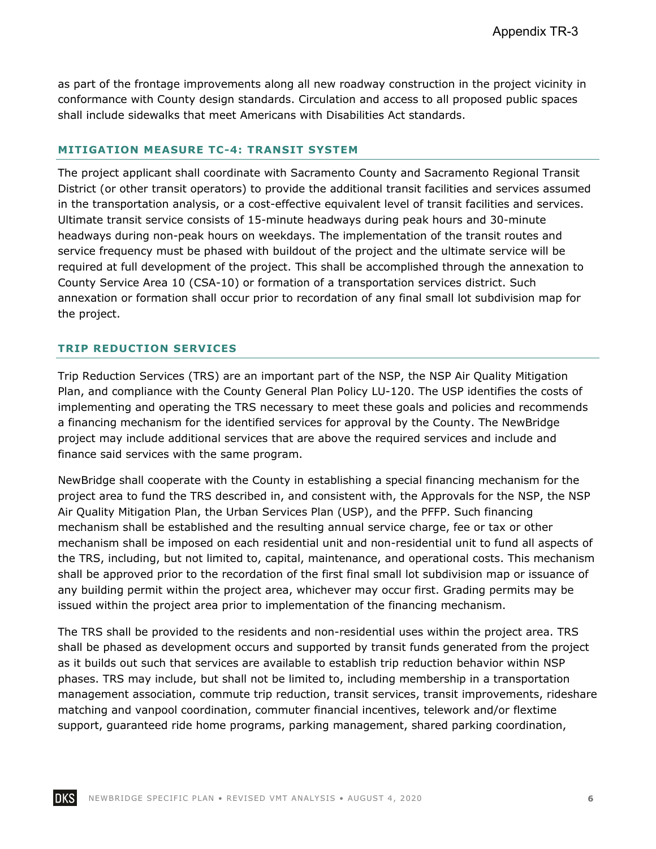as part of the frontage improvements along all new roadway construction in the project vicinity in conformance with County design standards. Circulation and access to all proposed public spaces shall include sidewalks that meet Americans with Disabilities Act standards.

#### **MITIGATION MEASURE TC-4: TRANSIT SYSTEM**

The project applicant shall coordinate with Sacramento County and Sacramento Regional Transit District (or other transit operators) to provide the additional transit facilities and services assumed in the transportation analysis, or a cost-effective equivalent level of transit facilities and services. Ultimate transit service consists of 15-minute headways during peak hours and 30-minute headways during non-peak hours on weekdays. The implementation of the transit routes and service frequency must be phased with buildout of the project and the ultimate service will be required at full development of the project. This shall be accomplished through the annexation to County Service Area 10 (CSA-10) or formation of a transportation services district. Such annexation or formation shall occur prior to recordation of any final small lot subdivision map for the project.

#### **TRIP REDUCTION SERVICES**

Trip Reduction Services (TRS) are an important part of the NSP, the NSP Air Quality Mitigation Plan, and compliance with the County General Plan Policy LU-120. The USP identifies the costs of implementing and operating the TRS necessary to meet these goals and policies and recommends a financing mechanism for the identified services for approval by the County. The NewBridge project may include additional services that are above the required services and include and finance said services with the same program.

NewBridge shall cooperate with the County in establishing a special financing mechanism for the project area to fund the TRS described in, and consistent with, the Approvals for the NSP, the NSP Air Quality Mitigation Plan, the Urban Services Plan (USP), and the PFFP. Such financing mechanism shall be established and the resulting annual service charge, fee or tax or other mechanism shall be imposed on each residential unit and non-residential unit to fund all aspects of the TRS, including, but not limited to, capital, maintenance, and operational costs. This mechanism shall be approved prior to the recordation of the first final small lot subdivision map or issuance of any building permit within the project area, whichever may occur first. Grading permits may be issued within the project area prior to implementation of the financing mechanism.

The TRS shall be provided to the residents and non-residential uses within the project area. TRS shall be phased as development occurs and supported by transit funds generated from the project as it builds out such that services are available to establish trip reduction behavior within NSP phases. TRS may include, but shall not be limited to, including membership in a transportation management association, commute trip reduction, transit services, transit improvements, rideshare matching and vanpool coordination, commuter financial incentives, telework and/or flextime support, guaranteed ride home programs, parking management, shared parking coordination,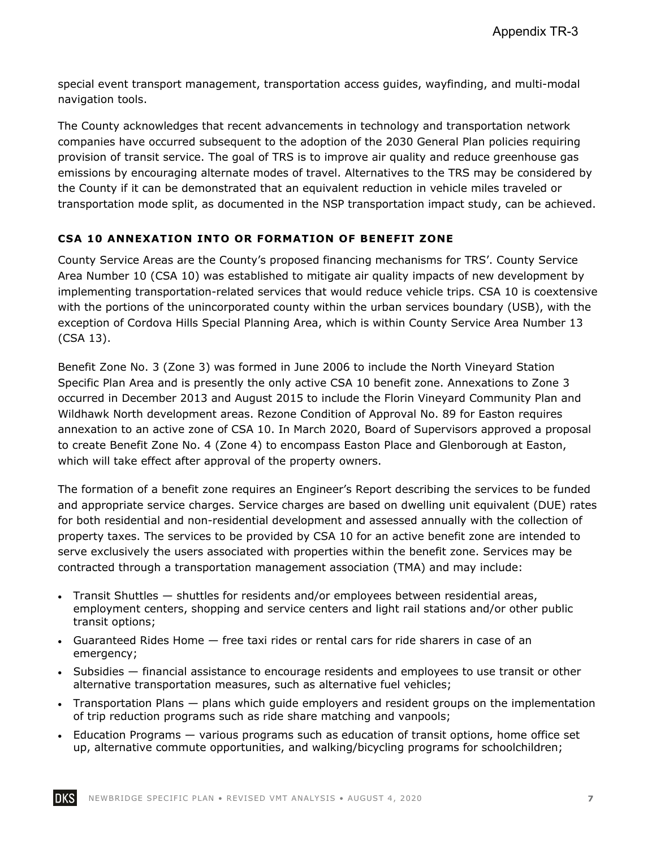special event transport management, transportation access guides, wayfinding, and multi-modal navigation tools.

The County acknowledges that recent advancements in technology and transportation network companies have occurred subsequent to the adoption of the 2030 General Plan policies requiring provision of transit service. The goal of TRS is to improve air quality and reduce greenhouse gas emissions by encouraging alternate modes of travel. Alternatives to the TRS may be considered by the County if it can be demonstrated that an equivalent reduction in vehicle miles traveled or transportation mode split, as documented in the NSP transportation impact study, can be achieved.

# **CSA 10 ANNEXATION INTO OR FORMATION OF BENEFIT ZONE**

County Service Areas are the County's proposed financing mechanisms for TRS'. County Service Area Number 10 (CSA 10) was established to mitigate air quality impacts of new development by implementing transportation-related services that would reduce vehicle trips. CSA 10 is coextensive with the portions of the unincorporated county within the urban services boundary (USB), with the exception of Cordova Hills Special Planning Area, which is within County Service Area Number 13 (CSA 13).

Benefit Zone No. 3 (Zone 3) was formed in June 2006 to include the North Vineyard Station Specific Plan Area and is presently the only active CSA 10 benefit zone. Annexations to Zone 3 occurred in December 2013 and August 2015 to include the Florin Vineyard Community Plan and Wildhawk North development areas. Rezone Condition of Approval No. 89 for Easton requires annexation to an active zone of CSA 10. In March 2020, Board of Supervisors approved a proposal to create Benefit Zone No. 4 (Zone 4) to encompass Easton Place and Glenborough at Easton, which will take effect after approval of the property owners.

The formation of a benefit zone requires an Engineer's Report describing the services to be funded and appropriate service charges. Service charges are based on dwelling unit equivalent (DUE) rates for both residential and non-residential development and assessed annually with the collection of property taxes. The services to be provided by CSA 10 for an active benefit zone are intended to serve exclusively the users associated with properties within the benefit zone. Services may be contracted through a transportation management association (TMA) and may include:

- Transit Shuttles shuttles for residents and/or employees between residential areas, employment centers, shopping and service centers and light rail stations and/or other public transit options;
- Guaranteed Rides Home free taxi rides or rental cars for ride sharers in case of an emergency;
- Subsidies financial assistance to encourage residents and employees to use transit or other alternative transportation measures, such as alternative fuel vehicles;
- Transportation Plans plans which guide employers and resident groups on the implementation of trip reduction programs such as ride share matching and vanpools;
- Education Programs various programs such as education of transit options, home office set up, alternative commute opportunities, and walking/bicycling programs for schoolchildren;